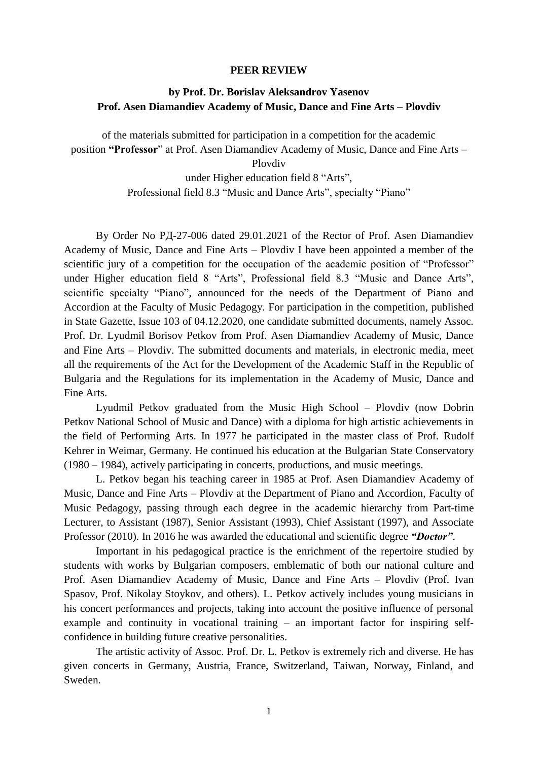## **PEER REVIEW**

## **by Prof. Dr. Borislav Aleksandrov Yasenov Prof. Asen Diamandiev Academy of Music, Dance and Fine Arts – Plovdiv**

of the materials submitted for participation in a competition for the academic position **"Professor**" at Prof. Asen Diamandiev Academy of Music, Dance and Fine Arts –

Plovdiv

under Higher education field 8 "Arts", Professional field 8.3 "Music and Dance Arts", specialty "Piano"

By Order No PД-27-006 dated 29.01.2021 of the Rector of Prof. Asen Diamandiev Academy of Music, Dance and Fine Arts – Plovdiv I have been appointed a member of the scientific jury of a competition for the occupation of the academic position of "Professor" under Higher education field 8 "Arts", Professional field 8.3 "Music and Dance Arts", scientific specialty "Piano", announced for the needs of the Department of Piano and Accordion at the Faculty of Music Pedagogy. For participation in the competition, published in State Gazette, Issue 103 of 04.12.2020, one candidate submitted documents, namely Assoc. Prof. Dr. Lyudmil Borisov Petkov from Prof. Asen Diamandiev Academy of Music, Dance and Fine Arts – Plovdiv. The submitted documents and materials, in electronic media, meet all the requirements of the Act for the Development of the Academic Staff in the Republic of Bulgaria and the Regulations for its implementation in the Academy of Music, Dance and Fine Arts.

Lyudmil Petkov graduated from the Music High School – Plovdiv (now Dobrin Petkov National School of Music and Dance) with a diploma for high artistic achievements in the field of Performing Arts. In 1977 he participated in the master class of Prof. Rudolf Kehrer in Weimar, Germany. He continued his education at the Bulgarian State Conservatory (1980 – 1984), actively participating in concerts, productions, and music meetings.

L. Petkov began his teaching career in 1985 at Prof. Asen Diamandiev Academy of Music, Dance and Fine Arts – Plovdiv at the Department of Piano and Accordion, Faculty of Music Pedagogy, passing through each degree in the academic hierarchy from Part-time Lecturer, to Assistant (1987), Senior Assistant (1993), Chief Assistant (1997), and Associate Professor (2010). In 2016 he was awarded the educational and scientific degree *"Doctor"*.

Important in his pedagogical practice is the enrichment of the repertoire studied by students with works by Bulgarian composers, emblematic of both our national culture and Prof. Asen Diamandiev Academy of Music, Dance and Fine Arts – Plovdiv (Prof. Ivan Spasov, Prof. Nikolay Stoykov, and others). L. Petkov actively includes young musicians in his concert performances and projects, taking into account the positive influence of personal example and continuity in vocational training – an important factor for inspiring selfconfidence in building future creative personalities.

The artistic activity of Assoc. Prof. Dr. L. Petkov is extremely rich and diverse. He has given concerts in Germany, Austria, France, Switzerland, Taiwan, Norway, Finland, and Sweden.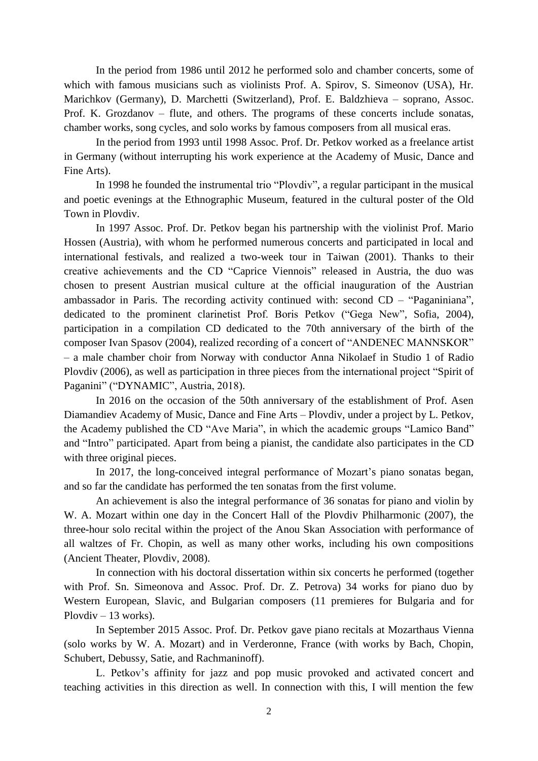In the period from 1986 until 2012 he performed solo and chamber concerts, some of which with famous musicians such as violinists Prof. A. Spirov, S. Simeonov (USA), Hr. Marichkov (Germany), D. Marchetti (Switzerland), Prof. E. Baldzhieva – soprano, Assoc. Prof. K. Grozdanov – flute, and others. The programs of these concerts include sonatas, chamber works, song cycles, and solo works by famous composers from all musical eras.

In the period from 1993 until 1998 Assoc. Prof. Dr. Petkov worked as a freelance artist in Germany (without interrupting his work experience at the Academy of Music, Dance and Fine Arts).

In 1998 he founded the instrumental trio "Plovdiv", a regular participant in the musical and poetic evenings at the Ethnographic Museum, featured in the cultural poster of the Old Town in Plovdiv.

In 1997 Assoc. Prof. Dr. Petkov began his partnership with the violinist Prof. Mario Hossen (Austria), with whom he performed numerous concerts and participated in local and international festivals, and realized a two-week tour in Taiwan (2001). Thanks to their creative achievements and the CD "Caprice Viennois" released in Austria, the duo was chosen to present Austrian musical culture at the official inauguration of the Austrian ambassador in Paris. The recording activity continued with: second CD – "Paganiniana", dedicated to the prominent clarinetist Prof. Boris Petkov ("Gega New", Sofia, 2004), participation in a compilation CD dedicated to the 70th anniversary of the birth of the composer Ivan Spasov (2004), realized recording of a concert of "ANDENEC MANNSKOR" – a male chamber choir from Norway with conductor Anna Nikolaef in Studio 1 of Radio Plovdiv (2006), as well as participation in three pieces from the international project "Spirit of Paganini" ("DYNAMIC", Austria, 2018).

In 2016 on the occasion of the 50th anniversary of the establishment of Prof. Asen Diamandiev Academy of Music, Dance and Fine Arts – Plovdiv, under a project by L. Petkov, the Academy published the CD "Ave Maria", in which the academic groups "Lamico Band" and "Intro" participated. Apart from being a pianist, the candidate also participates in the CD with three original pieces.

In 2017, the long-conceived integral performance of Mozart's piano sonatas began, and so far the candidate has performed the ten sonatas from the first volume.

An achievement is also the integral performance of 36 sonatas for piano and violin by W. A. Mozart within one day in the Concert Hall of the Plovdiv Philharmonic (2007), the three-hour solo recital within the project of the Anou Skan Association with performance of all waltzes of Fr. Chopin, as well as many other works, including his own compositions (Ancient Theater, Plovdiv, 2008).

In connection with his doctoral dissertation within six concerts he performed (together with Prof. Sn. Simeonova and Assoc. Prof. Dr. Z. Petrova) 34 works for piano duo by Western European, Slavic, and Bulgarian composers (11 premieres for Bulgaria and for Plovdiv – 13 works).

In September 2015 Assoc. Prof. Dr. Petkov gave piano recitals at Mozarthaus Vienna (solo works by W. A. Mozart) and in Verderonne, France (with works by Bach, Chopin, Schubert, Debussy, Satie, and Rachmaninoff).

L. Petkov's affinity for jazz and pop music provoked and activated concert and teaching activities in this direction as well. In connection with this, I will mention the few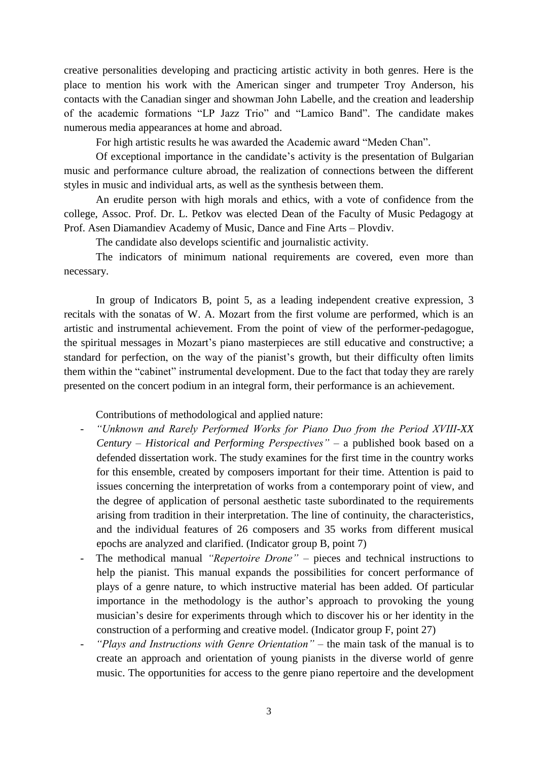creative personalities developing and practicing artistic activity in both genres. Here is the place to mention his work with the American singer and trumpeter Troy Anderson, his contacts with the Canadian singer and showman John Labelle, and the creation and leadership of the academic formations "LP Jazz Trio" and "Lamico Band". The candidate makes numerous media appearances at home and abroad.

For high artistic results he was awarded the Academic award "Meden Chan".

Of exceptional importance in the candidate's activity is the presentation of Bulgarian music and performance culture abroad, the realization of connections between the different styles in music and individual arts, as well as the synthesis between them.

An erudite person with high morals and ethics, with a vote of confidence from the college, Assoc. Prof. Dr. L. Petkov was elected Dean of the Faculty of Music Pedagogy at Prof. Asen Diamandiev Academy of Music, Dance and Fine Arts – Plovdiv.

The candidate also develops scientific and journalistic activity.

The indicators of minimum national requirements are covered, even more than necessary.

In group of Indicators B, point 5, as a leading independent creative expression, 3 recitals with the sonatas of W. A. Mozart from the first volume are performed, which is an artistic and instrumental achievement. From the point of view of the performer-pedagogue, the spiritual messages in Mozart's piano masterpieces are still educative and constructive; a standard for perfection, on the way of the pianist's growth, but their difficulty often limits them within the "cabinet" instrumental development. Due to the fact that today they are rarely presented on the concert podium in an integral form, their performance is an achievement.

## Contributions of methodological and applied nature:

- *"Unknown and Rarely Performed Works for Piano Duo from the Period XVIII-XX Century – Historical and Performing Perspectives"* – a published book based on a defended dissertation work. The study examines for the first time in the country works for this ensemble, created by composers important for their time. Attention is paid to issues concerning the interpretation of works from a contemporary point of view, and the degree of application of personal aesthetic taste subordinated to the requirements arising from tradition in their interpretation. The line of continuity, the characteristics, and the individual features of 26 composers and 35 works from different musical epochs are analyzed and clarified. (Indicator group B, point 7)
- The methodical manual *"Repertoire Drone"*  pieces and technical instructions to help the pianist. This manual expands the possibilities for concert performance of plays of a genre nature, to which instructive material has been added. Of particular importance in the methodology is the author's approach to provoking the young musician's desire for experiments through which to discover his or her identity in the construction of a performing and creative model. (Indicator group F, point 27)
- *"Plays and Instructions with Genre Orientation"* the main task of the manual is to create an approach and orientation of young pianists in the diverse world of genre music. The opportunities for access to the genre piano repertoire and the development